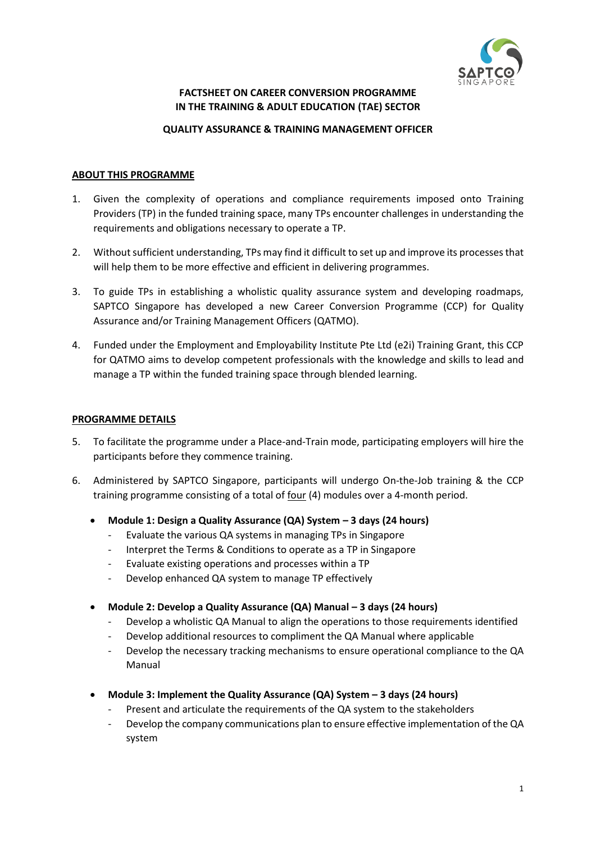

## **FACTSHEET ON CAREER CONVERSION PROGRAMME IN THE TRAINING & ADULT EDUCATION (TAE) SECTOR**

#### **QUALITY ASSURANCE & TRAINING MANAGEMENT OFFICER**

#### **ABOUT THIS PROGRAMME**

- 1. Given the complexity of operations and compliance requirements imposed onto Training Providers (TP) in the funded training space, many TPs encounter challenges in understanding the requirements and obligations necessary to operate a TP.
- 2. Without sufficient understanding, TPs may find it difficult to set up and improve its processes that will help them to be more effective and efficient in delivering programmes.
- 3. To guide TPs in establishing a wholistic quality assurance system and developing roadmaps, SAPTCO Singapore has developed a new Career Conversion Programme (CCP) for Quality Assurance and/or Training Management Officers (QATMO).
- 4. Funded under the Employment and Employability Institute Pte Ltd (e2i) Training Grant, this CCP for QATMO aims to develop competent professionals with the knowledge and skills to lead and manage a TP within the funded training space through blended learning.

## **PROGRAMME DETAILS**

- 5. To facilitate the programme under a Place-and-Train mode, participating employers will hire the participants before they commence training.
- 6. Administered by SAPTCO Singapore, participants will undergo On-the-Job training & the CCP training programme consisting of a total of four (4) modules over a 4-month period.
	- **Module 1: Design a Quality Assurance (QA) System – 3 days (24 hours)**
		- Evaluate the various QA systems in managing TPs in Singapore
		- Interpret the Terms & Conditions to operate as a TP in Singapore
		- Evaluate existing operations and processes within a TP
		- Develop enhanced QA system to manage TP effectively
	- **Module 2: Develop a Quality Assurance (QA) Manual – 3 days (24 hours)**
		- Develop a wholistic QA Manual to align the operations to those requirements identified
		- Develop additional resources to compliment the QA Manual where applicable
		- Develop the necessary tracking mechanisms to ensure operational compliance to the QA Manual
	- **Module 3: Implement the Quality Assurance (QA) System – 3 days (24 hours)**
		- Present and articulate the requirements of the QA system to the stakeholders
		- Develop the company communications plan to ensure effective implementation of the QA system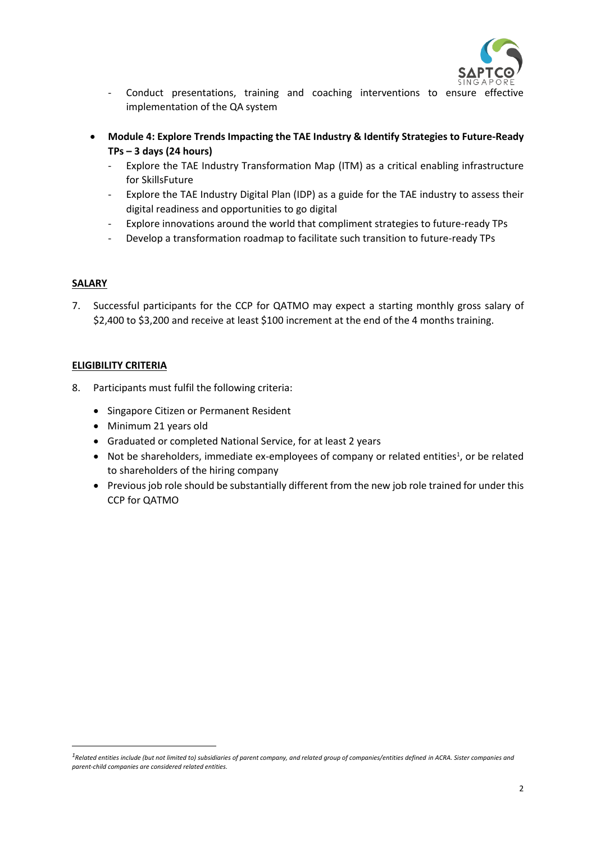

- Conduct presentations, training and coaching interventions to ensure effective implementation of the QA system
- **Module 4: Explore Trends Impacting the TAE Industry & Identify Strategies to Future-Ready TPs – 3 days (24 hours)**
	- Explore the TAE Industry Transformation Map (ITM) as a critical enabling infrastructure for SkillsFuture
	- Explore the TAE Industry Digital Plan (IDP) as a guide for the TAE industry to assess their digital readiness and opportunities to go digital
	- Explore innovations around the world that compliment strategies to future-ready TPs
	- Develop a transformation roadmap to facilitate such transition to future-ready TPs

## **SALARY**

7. Successful participants for the CCP for QATMO may expect a starting monthly gross salary of \$2,400 to \$3,200 and receive at least \$100 increment at the end of the 4 months training.

# **ELIGIBILITY CRITERIA**

- 8. Participants must fulfil the following criteria:
	- Singapore Citizen or Permanent Resident
	- Minimum 21 years old
	- Graduated or completed National Service, for at least 2 years
	- Not be shareholders, immediate ex-employees of company or related entities<sup>1</sup>, or be related to shareholders of the hiring company
	- Previous job role should be substantially different from the new job role trained for under this CCP for QATMO

*<sup>1</sup>Related entities include (but not limited to) subsidiaries of parent company, and related group of companies/entities defined in ACRA. Sister companies and parent-child companies are considered related entities.*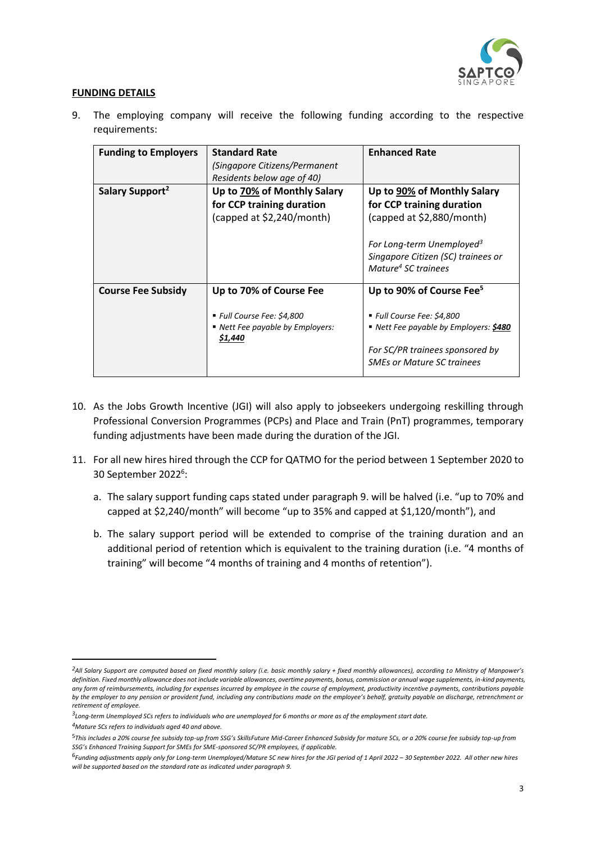

## **FUNDING DETAILS**

9. The employing company will receive the following funding according to the respective requirements:

| <b>Funding to Employers</b> | <b>Standard Rate</b><br>(Singapore Citizens/Permanent<br>Residents below age of 40)                  | <b>Enhanced Rate</b>                                                                                                                                                                                    |
|-----------------------------|------------------------------------------------------------------------------------------------------|---------------------------------------------------------------------------------------------------------------------------------------------------------------------------------------------------------|
| Salary Support <sup>2</sup> | Up to 70% of Monthly Salary<br>for CCP training duration<br>(capped at \$2,240/month)                | Up to 90% of Monthly Salary<br>for CCP training duration<br>(capped at \$2,880/month)<br>For Long-term Unemployed <sup>3</sup><br>Singapore Citizen (SC) trainees or<br>Mature <sup>4</sup> SC trainees |
| <b>Course Fee Subsidy</b>   | Up to 70% of Course Fee<br>■ Full Course Fee: \$4,800<br>■ Nett Fee payable by Employers:<br>\$1,440 | Up to 90% of Course Fee <sup>5</sup><br>■ Full Course Fee: \$4,800<br>Nett Fee payable by Employers: \$480<br>For SC/PR trainees sponsored by<br><b>SMEs or Mature SC trainees</b>                      |

- 10. As the Jobs Growth Incentive (JGI) will also apply to jobseekers undergoing reskilling through Professional Conversion Programmes (PCPs) and Place and Train (PnT) programmes, temporary funding adjustments have been made during the duration of the JGI.
- 11. For all new hires hired through the CCP for QATMO for the period between 1 September 2020 to 30 September 2022<sup>6</sup>:
	- a. The salary support funding caps stated under paragraph 9. will be halved (i.e. "up to 70% and capped at \$2,240/month" will become "up to 35% and capped at \$1,120/month"), and
	- b. The salary support period will be extended to comprise of the training duration and an additional period of retention which is equivalent to the training duration (i.e. "4 months of training" will become "4 months of training and 4 months of retention").

*<sup>2</sup>All Salary Support are computed based on fixed monthly salary (i.e. basic monthly salary + fixed monthly allowances), according to Ministry of Manpower's definition. Fixed monthly allowance does not include variable allowances, overtime payments, bonus, commission or annual wage supplements, in-kind payments, any form of reimbursements, including for expenses incurred by employee in the course of employment, productivity incentive payments, contributions payable by the employer to any pension or provident fund, including any contributions made on the employee's behalf, gratuity payable on discharge, retrenchment or retirement of employee.*

*<sup>3</sup> Long-term Unemployed SCs refers to individuals who are unemployed for 6 months or more as of the employment start date.*

*<sup>4</sup>Mature SCs refers to individuals aged 40 and above.*

<sup>5</sup>*This includes a 20% course fee subsidy top-up from SSG's SkillsFuture Mid-Career Enhanced Subsidy for mature SCs, or a 20% course fee subsidy top-up from SSG's Enhanced Training Support for SMEs for SME-sponsored SC/PR employees, if applicable.*

<sup>6</sup> *Funding adjustments apply only for Long-term Unemployed/Mature SC new hires for the JGI period of 1 April 2022 – 30 September 2022. All other new hires will be supported based on the standard rate as indicated under paragraph 9.*